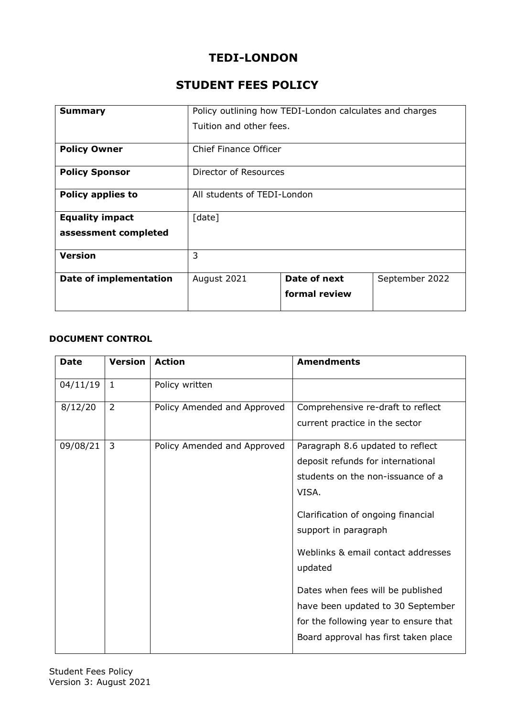# **TEDI-LONDON**

# **STUDENT FEES POLICY**

| <b>Summary</b>                | Policy outlining how TEDI-London calculates and charges |               |                |
|-------------------------------|---------------------------------------------------------|---------------|----------------|
|                               | Tuition and other fees.                                 |               |                |
| <b>Policy Owner</b>           | <b>Chief Finance Officer</b>                            |               |                |
| <b>Policy Sponsor</b>         | Director of Resources                                   |               |                |
| Policy applies to             | All students of TEDI-London                             |               |                |
| <b>Equality impact</b>        | [date]                                                  |               |                |
| assessment completed          |                                                         |               |                |
| <b>Version</b>                | 3                                                       |               |                |
| <b>Date of implementation</b> | August 2021                                             | Date of next  | September 2022 |
|                               |                                                         | formal review |                |

## **DOCUMENT CONTROL**

| <b>Date</b> | <b>Version</b> | <b>Action</b>               | <b>Amendments</b>                     |
|-------------|----------------|-----------------------------|---------------------------------------|
| 04/11/19    | 1              | Policy written              |                                       |
| 8/12/20     | $\overline{2}$ | Policy Amended and Approved | Comprehensive re-draft to reflect     |
|             |                |                             | current practice in the sector        |
| 09/08/21    | $\overline{3}$ | Policy Amended and Approved | Paragraph 8.6 updated to reflect      |
|             |                |                             | deposit refunds for international     |
|             |                |                             | students on the non-issuance of a     |
|             |                |                             | VISA.                                 |
|             |                |                             | Clarification of ongoing financial    |
|             |                |                             | support in paragraph                  |
|             |                |                             | Weblinks & email contact addresses    |
|             |                |                             | updated                               |
|             |                |                             | Dates when fees will be published     |
|             |                |                             | have been updated to 30 September     |
|             |                |                             | for the following year to ensure that |
|             |                |                             | Board approval has first taken place  |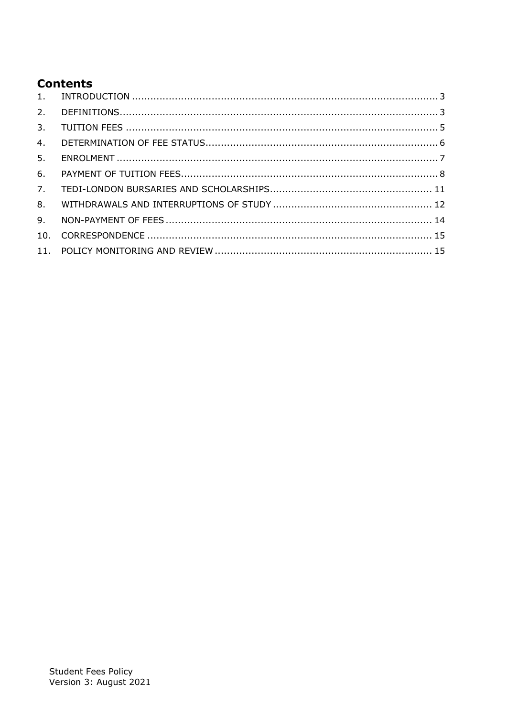# **Contents**

| 5. |  |
|----|--|
| 6. |  |
| 7. |  |
|    |  |
|    |  |
|    |  |
|    |  |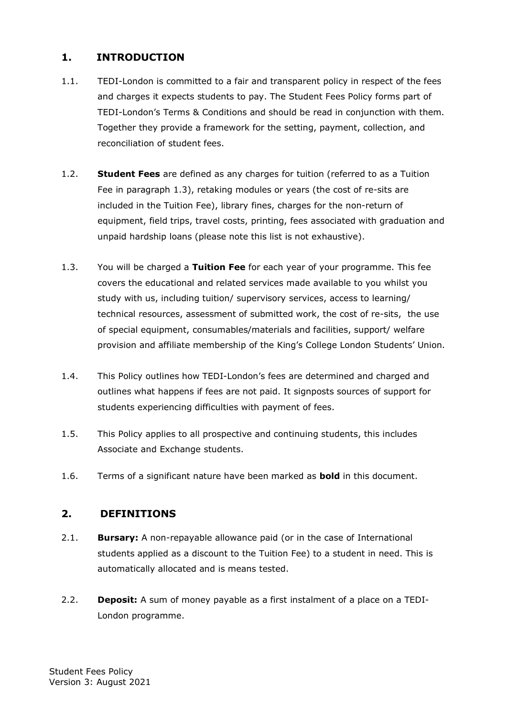# <span id="page-2-0"></span>**1. INTRODUCTION**

- 1.1. TEDI-London is committed to a fair and transparent policy in respect of the fees and charges it expects students to pay. The Student Fees Policy forms part of TEDI-London's Terms & Conditions and should be read in conjunction with them. Together they provide a framework for the setting, payment, collection, and reconciliation of student fees.
- 1.2. **Student Fees** are defined as any charges for tuition (referred to as a Tuition Fee in paragraph 1.3), retaking modules or years (the cost of re-sits are included in the Tuition Fee), library fines, charges for the non-return of equipment, field trips, travel costs, printing, fees associated with graduation and unpaid hardship loans (please note this list is not exhaustive).
- 1.3. You will be charged a **Tuition Fee** for each year of your programme. This fee covers the educational and related services made available to you whilst you study with us, including tuition/ supervisory services, access to learning/ technical resources, assessment of submitted work, the cost of re-sits, the use of special equipment, consumables/materials and facilities, support/ welfare provision and affiliate membership of the King's College London Students' Union.
- 1.4. This Policy outlines how TEDI-London's fees are determined and charged and outlines what happens if fees are not paid. It signposts sources of support for students experiencing difficulties with payment of fees.
- 1.5. This Policy applies to all prospective and continuing students, this includes Associate and Exchange students.
- 1.6. Terms of a significant nature have been marked as **bold** in this document.

## <span id="page-2-1"></span>**2. DEFINITIONS**

- 2.1. **Bursary:** A non-repayable allowance paid (or in the case of International students applied as a discount to the Tuition Fee) to a student in need. This is automatically allocated and is means tested.
- 2.2. **Deposit:** A sum of money payable as a first instalment of a place on a TEDI-London programme.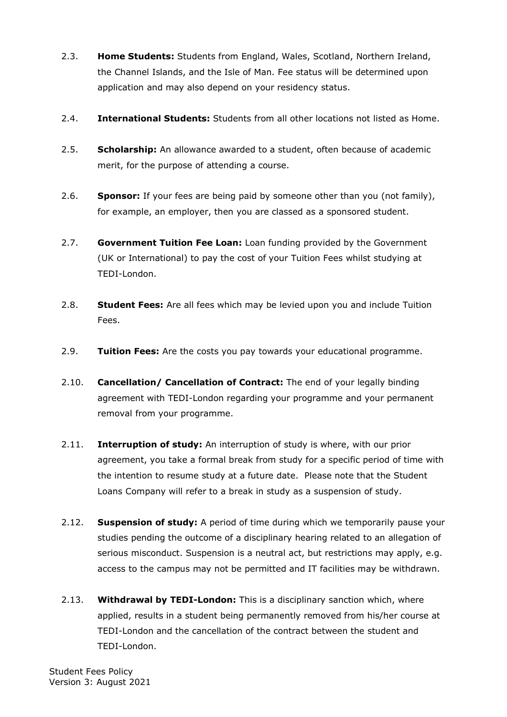- 2.3. **Home Students:** Students from England, Wales, Scotland, Northern Ireland, the Channel Islands, and the Isle of Man. Fee status will be determined upon application and may also depend on your residency status.
- 2.4. **International Students:** Students from all other locations not listed as Home.
- 2.5. **Scholarship:** An allowance awarded to a student, often because of academic merit, for the purpose of attending a course.
- 2.6. **Sponsor:** If your fees are being paid by someone other than you (not family), for example, an employer, then you are classed as a sponsored student.
- 2.7. **Government Tuition Fee Loan:** Loan funding provided by the Government (UK or International) to pay the cost of your Tuition Fees whilst studying at TEDI-London.
- 2.8. **Student Fees:** Are all fees which may be levied upon you and include Tuition Fees.
- 2.9. **Tuition Fees:** Are the costs you pay towards your educational programme.
- 2.10. **Cancellation/ Cancellation of Contract:** The end of your legally binding agreement with TEDI-London regarding your programme and your permanent removal from your programme.
- 2.11. **Interruption of study:** An interruption of study is where, with our prior agreement, you take a formal break from study for a specific period of time with the intention to resume study at a future date. Please note that the Student Loans Company will refer to a break in study as a suspension of study.
- 2.12. **Suspension of study:** A period of time during which we temporarily pause your studies pending the outcome of a disciplinary hearing related to an allegation of serious misconduct. Suspension is a neutral act, but restrictions may apply, e.g. access to the campus may not be permitted and IT facilities may be withdrawn.
- 2.13. **Withdrawal by TEDI-London:** This is a disciplinary sanction which, where applied, results in a student being permanently removed from his/her course at TEDI-London and the cancellation of the contract between the student and TEDI-London.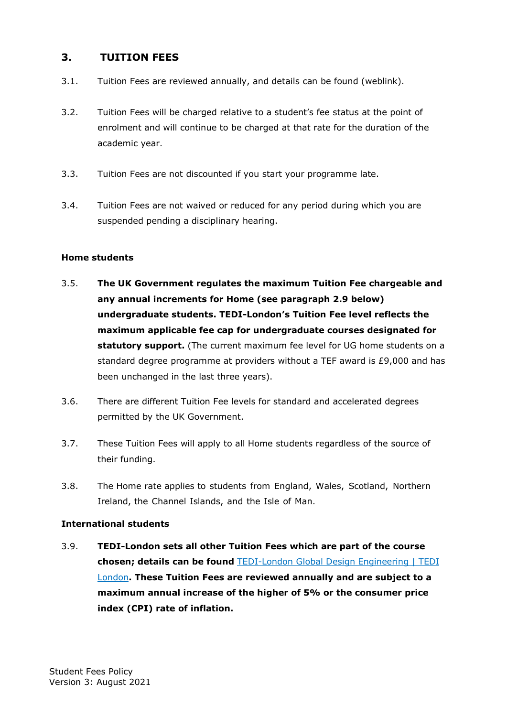## <span id="page-4-0"></span>**3. TUITION FEES**

- 3.1. Tuition Fees are reviewed annually, and details can be found (weblink).
- 3.2. Tuition Fees will be charged relative to a student's fee status at the point of enrolment and will continue to be charged at that rate for the duration of the academic year.
- 3.3. Tuition Fees are not discounted if you start your programme late.
- 3.4. Tuition Fees are not waived or reduced for any period during which you are suspended pending a disciplinary hearing.

#### **Home students**

- 3.5. **The UK Government regulates the maximum Tuition Fee chargeable and any annual increments for Home (see paragraph 2.9 below) undergraduate students. TEDI-London's Tuition Fee level reflects the maximum applicable fee cap for undergraduate courses designated for statutory support.** (The current maximum fee level for UG home students on a standard degree programme at providers without a TEF award is £9,000 and has been unchanged in the last three years).
- 3.6. There are different Tuition Fee levels for standard and accelerated degrees permitted by the UK Government.
- 3.7. These Tuition Fees will apply to all Home students regardless of the source of their funding.
- 3.8. The Home rate applies to students from England, Wales, Scotland, Northern Ireland, the Channel Islands, and the Isle of Man.

#### **International students**

3.9. **TEDI-London sets all other Tuition Fees which are part of the course chosen; details can be found** [TEDI-London Global Design Engineering | TEDI](https://tedi-london.ac.uk/learn/global-design-engineering/)  [London](https://tedi-london.ac.uk/learn/global-design-engineering/)**. These Tuition Fees are reviewed annually and are subject to a maximum annual increase of the higher of 5% or the consumer price index (CPI) rate of inflation.**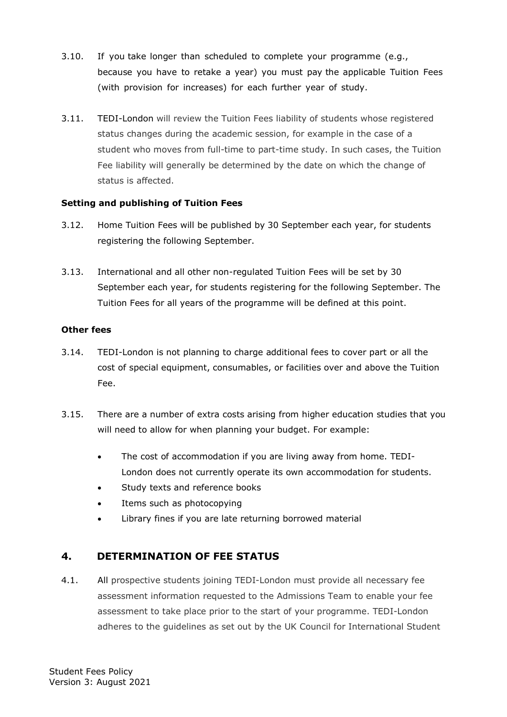- 3.10. If you take longer than scheduled to complete your programme (e.g., because you have to retake a year) you must pay the applicable Tuition Fees (with provision for increases) for each further year of study.
- 3.11. TEDI-London will review the Tuition Fees liability of students whose registered status changes during the academic session, for example in the case of a student who moves from full-time to part-time study. In such cases, the Tuition Fee liability will generally be determined by the date on which the change of status is affected.

### **Setting and publishing of Tuition Fees**

- 3.12. Home Tuition Fees will be published by 30 September each year, for students registering the following September.
- 3.13. International and all other non-regulated Tuition Fees will be set by 30 September each year, for students registering for the following September. The Tuition Fees for all years of the programme will be defined at this point.

#### **Other fees**

- 3.14. TEDI-London is not planning to charge additional fees to cover part or all the cost of special equipment, consumables, or facilities over and above the Tuition Fee.
- 3.15. There are a number of extra costs arising from higher education studies that you will need to allow for when planning your budget. For example:
	- The cost of accommodation if you are living away from home. TEDI-London does not currently operate its own accommodation for students.
	- Study texts and reference books
	- Items such as photocopying
	- Library fines if you are late returning borrowed material

## <span id="page-5-0"></span>**4. DETERMINATION OF FEE STATUS**

4.1. All prospective students joining TEDI-London must provide all necessary fee assessment information requested to the Admissions Team to enable your fee assessment to take place prior to the start of your programme. TEDI-London adheres to the guidelines as set out by the UK Council for International Student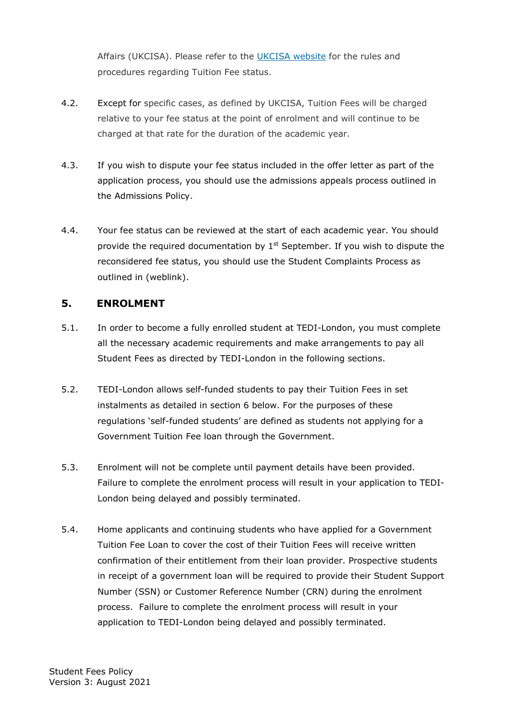Affairs (UKCISA). Please refer to the [UKCISA website](http://www.ukcisa.org.uk/) for the rules and procedures regarding Tuition Fee status.

- 4.2. Except for specific cases, as defined by UKCISA, Tuition Fees will be charged relative to your fee status at the point of enrolment and will continue to be charged at that rate for the duration of the academic year.
- 4.3. If you wish to dispute your fee status included in the offer letter as part of the application process, you should use the admissions appeals process outlined in the Admissions Policy.
- 4.4. Your fee status can be reviewed at the start of each academic year. You should provide the required documentation by  $1<sup>st</sup>$  September. If you wish to dispute the reconsidered fee status, you should use the Student Complaints Process as outlined in (weblink).

## <span id="page-6-0"></span>**5. ENROLMENT**

- 5.1. In order to become a fully enrolled student at TEDI-London, you must complete all the necessary academic requirements and make arrangements to pay all Student Fees as directed by TEDI-London in the following sections.
- 5.2. TEDI-London allows self-funded students to pay their Tuition Fees in set instalments as detailed in section 6 below. For the purposes of these regulations 'self-funded students' are defined as students not applying for a Government Tuition Fee loan through the Government.
- 5.3. Enrolment will not be complete until payment details have been provided. Failure to complete the enrolment process will result in your application to TEDI-London being delayed and possibly terminated.
- 5.4. Home applicants and continuing students who have applied for a Government Tuition Fee Loan to cover the cost of their Tuition Fees will receive written confirmation of their entitlement from their loan provider. Prospective students in receipt of a government loan will be required to provide their Student Support Number (SSN) or Customer Reference Number (CRN) during the enrolment process. Failure to complete the enrolment process will result in your application to TEDI-London being delayed and possibly terminated.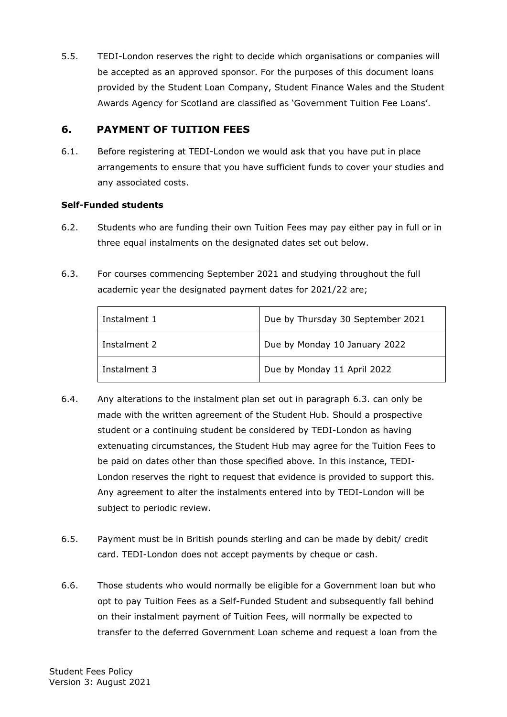5.5. TEDI-London reserves the right to decide which organisations or companies will be accepted as an approved sponsor. For the purposes of this document loans provided by the Student Loan Company, Student Finance Wales and the Student Awards Agency for Scotland are classified as 'Government Tuition Fee Loans'.

# <span id="page-7-0"></span>**6. PAYMENT OF TUITION FEES**

6.1. Before registering at TEDI-London we would ask that you have put in place arrangements to ensure that you have sufficient funds to cover your studies and any associated costs.

## **Self-Funded students**

- 6.2. Students who are funding their own Tuition Fees may pay either pay in full or in three equal instalments on the designated dates set out below.
- 6.3. For courses commencing September 2021 and studying throughout the full academic year the designated payment dates for 2021/22 are;

| Instalment 1 | Due by Thursday 30 September 2021 |
|--------------|-----------------------------------|
| Instalment 2 | Due by Monday 10 January 2022     |
| Instalment 3 | Due by Monday 11 April 2022       |

- 6.4. Any alterations to the instalment plan set out in paragraph 6.3. can only be made with the written agreement of the Student Hub. Should a prospective student or a continuing student be considered by TEDI-London as having extenuating circumstances, the Student Hub may agree for the Tuition Fees to be paid on dates other than those specified above. In this instance, TEDI-London reserves the right to request that evidence is provided to support this. Any agreement to alter the instalments entered into by TEDI-London will be subject to periodic review.
- 6.5. Payment must be in British pounds sterling and can be made by debit/ credit card. TEDI-London does not accept payments by cheque or cash.
- 6.6. Those students who would normally be eligible for a Government loan but who opt to pay Tuition Fees as a Self-Funded Student and subsequently fall behind on their instalment payment of Tuition Fees, will normally be expected to transfer to the deferred Government Loan scheme and request a loan from the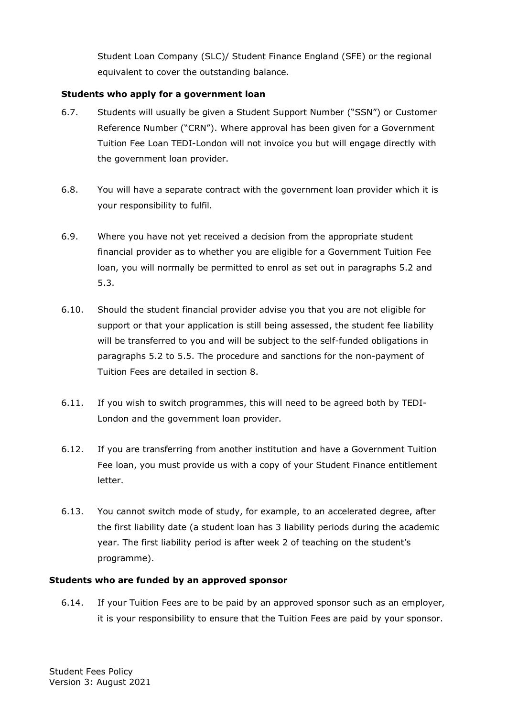Student Loan Company (SLC)/ Student Finance England (SFE) or the regional equivalent to cover the outstanding balance.

### **Students who apply for a government loan**

- 6.7. Students will usually be given a Student Support Number ("SSN") or Customer Reference Number ("CRN"). Where approval has been given for a Government Tuition Fee Loan TEDI-London will not invoice you but will engage directly with the government loan provider.
- 6.8. You will have a separate contract with the government loan provider which it is your responsibility to fulfil.
- 6.9. Where you have not yet received a decision from the appropriate student financial provider as to whether you are eligible for a Government Tuition Fee loan, you will normally be permitted to enrol as set out in paragraphs 5.2 and 5.3.
- 6.10. Should the student financial provider advise you that you are not eligible for support or that your application is still being assessed, the student fee liability will be transferred to you and will be subject to the self-funded obligations in paragraphs 5.2 to 5.5. The procedure and sanctions for the non-payment of Tuition Fees are detailed in section 8.
- 6.11. If you wish to switch programmes, this will need to be agreed both by TEDI-London and the government loan provider.
- 6.12. If you are transferring from another institution and have a Government Tuition Fee loan, you must provide us with a copy of your Student Finance entitlement letter.
- 6.13. You cannot switch mode of study, for example, to an accelerated degree, after the first liability date (a student loan has 3 liability periods during the academic year. The first liability period is after week 2 of teaching on the student's programme).

## **Students who are funded by an approved sponsor**

6.14. If your Tuition Fees are to be paid by an approved sponsor such as an employer, it is your responsibility to ensure that the Tuition Fees are paid by your sponsor.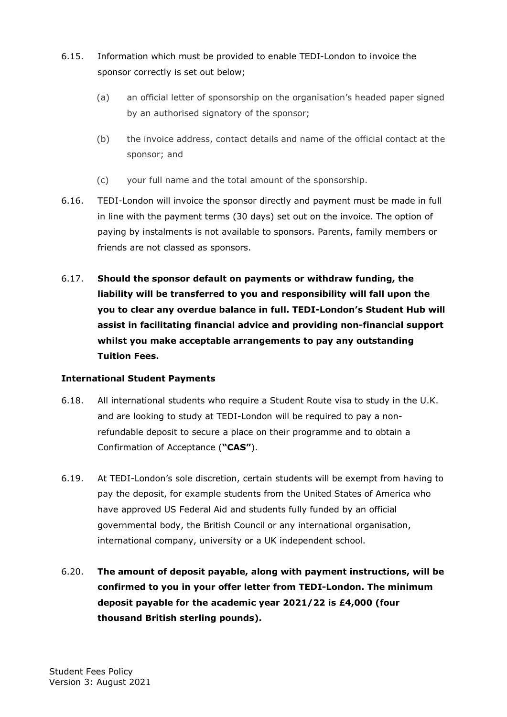- 6.15. Information which must be provided to enable TEDI-London to invoice the sponsor correctly is set out below;
	- (a) an official letter of sponsorship on the organisation's headed paper signed by an authorised signatory of the sponsor;
	- (b) the invoice address, contact details and name of the official contact at the sponsor; and
	- (c) your full name and the total amount of the sponsorship.
- 6.16. TEDI-London will invoice the sponsor directly and payment must be made in full in line with the payment terms (30 days) set out on the invoice. The option of paying by instalments is not available to sponsors. Parents, family members or friends are not classed as sponsors.
- 6.17. **Should the sponsor default on payments or withdraw funding, the liability will be transferred to you and responsibility will fall upon the you to clear any overdue balance in full. TEDI-London's Student Hub will assist in facilitating financial advice and providing non-financial support whilst you make acceptable arrangements to pay any outstanding Tuition Fees.**

## **International Student Payments**

- 6.18. All international students who require a Student Route visa to study in the U.K. and are looking to study at TEDI-London will be required to pay a nonrefundable deposit to secure a place on their programme and to obtain a Confirmation of Acceptance (**"CAS"**).
- 6.19. At TEDI-London's sole discretion, certain students will be exempt from having to pay the deposit, for example students from the United States of America who have approved US Federal Aid and students fully funded by an official governmental body, the British Council or any international organisation, international company, university or a UK independent school.
- 6.20. **The amount of deposit payable, along with payment instructions, will be confirmed to you in your offer letter from TEDI-London. The minimum deposit payable for the academic year 2021/22 is £4,000 (four thousand British sterling pounds).**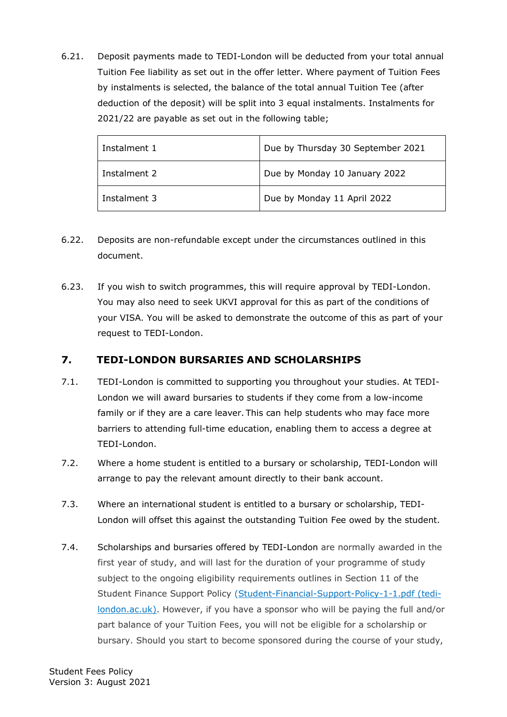6.21. Deposit payments made to TEDI-London will be deducted from your total annual Tuition Fee liability as set out in the offer letter. Where payment of Tuition Fees by instalments is selected, the balance of the total annual Tuition Tee (after deduction of the deposit) will be split into 3 equal instalments. Instalments for 2021/22 are payable as set out in the following table;

| Instalment 1 | Due by Thursday 30 September 2021 |
|--------------|-----------------------------------|
| Instalment 2 | Due by Monday 10 January 2022     |
| Instalment 3 | Due by Monday 11 April 2022       |

- 6.22. Deposits are non-refundable except under the circumstances outlined in this document.
- 6.23. If you wish to switch programmes, this will require approval by TEDI-London. You may also need to seek UKVI approval for this as part of the conditions of your VISA. You will be asked to demonstrate the outcome of this as part of your request to TEDI-London.

# <span id="page-10-0"></span>**7. TEDI-LONDON BURSARIES AND SCHOLARSHIPS**

- 7.1. TEDI-London is committed to supporting you throughout your studies. At TEDI-London we will award bursaries to students if they come from a low-income family or if they are a care leaver. This can help students who may face more barriers to attending full-time education, enabling them to access a degree at TEDI-London.
- 7.2. Where a home student is entitled to a bursary or scholarship, TEDI-London will arrange to pay the relevant amount directly to their bank account.
- 7.3. Where an international student is entitled to a bursary or scholarship, TEDI-London will offset this against the outstanding Tuition Fee owed by the student.
- 7.4. Scholarships and bursaries offered by TEDI-London are normally awarded in the first year of study, and will last for the duration of your programme of study subject to the ongoing eligibility requirements outlines in Section 11 of the Student Finance Support Policy [\(Student-Financial-Support-Policy-1-1.pdf \(tedi](https://tedi-london.ac.uk/wp-content/uploads/2021/01/Student-Financial-Support-Policy-1-1.pdf)[london.ac.uk\).](https://tedi-london.ac.uk/wp-content/uploads/2021/01/Student-Financial-Support-Policy-1-1.pdf) However, if you have a sponsor who will be paying the full and/or part balance of your Tuition Fees, you will not be eligible for a scholarship or bursary. Should you start to become sponsored during the course of your study,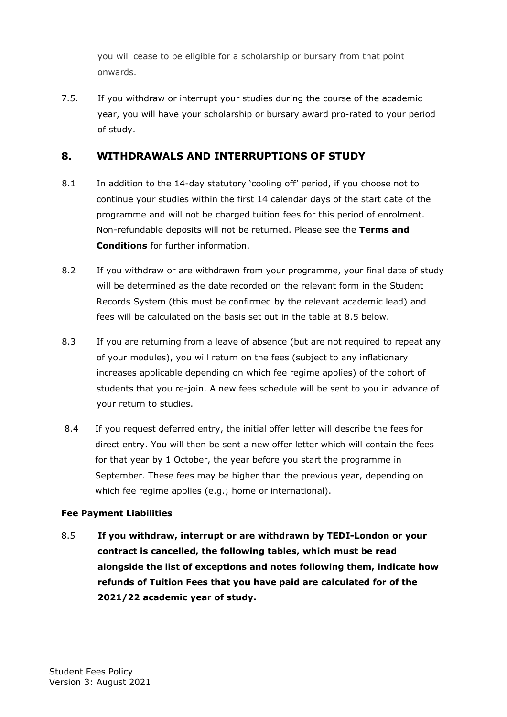you will cease to be eligible for a scholarship or bursary from that point onwards.

7.5. If you withdraw or interrupt your studies during the course of the academic year, you will have your scholarship or bursary award pro-rated to your period of study.

## <span id="page-11-0"></span>**8. WITHDRAWALS AND INTERRUPTIONS OF STUDY**

- 8.1 In addition to the 14-day statutory 'cooling off' period, if you choose not to continue your studies within the first 14 calendar days of the start date of the programme and will not be charged tuition fees for this period of enrolment. Non-refundable deposits will not be returned. Please see the **Terms and Conditions** for further information.
- 8.2 If you withdraw or are withdrawn from your programme, your final date of study will be determined as the date recorded on the relevant form in the Student Records System (this must be confirmed by the relevant academic lead) and fees will be calculated on the basis set out in the table at 8.5 below.
- 8.3 If you are returning from a leave of absence (but are not required to repeat any of your modules), you will return on the fees (subject to any inflationary increases applicable depending on which fee regime applies) of the cohort of students that you re-join. A new fees schedule will be sent to you in advance of your return to studies.
- 8.4 If you request deferred entry, the initial offer letter will describe the fees for direct entry. You will then be sent a new offer letter which will contain the fees for that year by 1 October, the year before you start the programme in September. These fees may be higher than the previous year, depending on which fee regime applies (e.g.; home or international).

#### **Fee Payment Liabilities**

8.5 **If you withdraw, interrupt or are withdrawn by TEDI-London or your contract is cancelled, the following tables, which must be read alongside the list of exceptions and notes following them, indicate how refunds of Tuition Fees that you have paid are calculated for of the 2021/22 academic year of study.**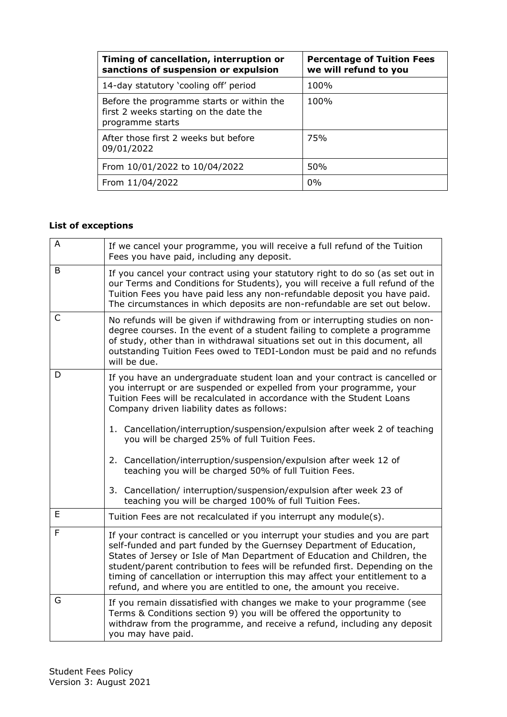| Timing of cancellation, interruption or<br>sanctions of suspension or expulsion                         | <b>Percentage of Tuition Fees</b><br>we will refund to you |
|---------------------------------------------------------------------------------------------------------|------------------------------------------------------------|
| 14-day statutory 'cooling off' period                                                                   | 100%                                                       |
| Before the programme starts or within the<br>first 2 weeks starting on the date the<br>programme starts | 100%                                                       |
| After those first 2 weeks but before<br>09/01/2022                                                      | 75%                                                        |
| From 10/01/2022 to 10/04/2022                                                                           | 50%                                                        |
| From 11/04/2022                                                                                         | 0%                                                         |

# **List of exceptions**

| A | If we cancel your programme, you will receive a full refund of the Tuition<br>Fees you have paid, including any deposit.                                                                                                                                                                                                                                                                                                                                                |
|---|-------------------------------------------------------------------------------------------------------------------------------------------------------------------------------------------------------------------------------------------------------------------------------------------------------------------------------------------------------------------------------------------------------------------------------------------------------------------------|
| B | If you cancel your contract using your statutory right to do so (as set out in<br>our Terms and Conditions for Students), you will receive a full refund of the<br>Tuition Fees you have paid less any non-refundable deposit you have paid.<br>The circumstances in which deposits are non-refundable are set out below.                                                                                                                                               |
| C | No refunds will be given if withdrawing from or interrupting studies on non-<br>degree courses. In the event of a student failing to complete a programme<br>of study, other than in withdrawal situations set out in this document, all<br>outstanding Tuition Fees owed to TEDI-London must be paid and no refunds<br>will be due.                                                                                                                                    |
| D | If you have an undergraduate student loan and your contract is cancelled or<br>you interrupt or are suspended or expelled from your programme, your<br>Tuition Fees will be recalculated in accordance with the Student Loans<br>Company driven liability dates as follows:                                                                                                                                                                                             |
|   | 1. Cancellation/interruption/suspension/expulsion after week 2 of teaching<br>you will be charged 25% of full Tuition Fees.                                                                                                                                                                                                                                                                                                                                             |
|   | 2. Cancellation/interruption/suspension/expulsion after week 12 of<br>teaching you will be charged 50% of full Tuition Fees.                                                                                                                                                                                                                                                                                                                                            |
|   | 3. Cancellation/ interruption/suspension/expulsion after week 23 of<br>teaching you will be charged 100% of full Tuition Fees.                                                                                                                                                                                                                                                                                                                                          |
| E | Tuition Fees are not recalculated if you interrupt any module(s).                                                                                                                                                                                                                                                                                                                                                                                                       |
| F | If your contract is cancelled or you interrupt your studies and you are part<br>self-funded and part funded by the Guernsey Department of Education,<br>States of Jersey or Isle of Man Department of Education and Children, the<br>student/parent contribution to fees will be refunded first. Depending on the<br>timing of cancellation or interruption this may affect your entitlement to a<br>refund, and where you are entitled to one, the amount you receive. |
| G | If you remain dissatisfied with changes we make to your programme (see<br>Terms & Conditions section 9) you will be offered the opportunity to<br>withdraw from the programme, and receive a refund, including any deposit<br>you may have paid.                                                                                                                                                                                                                        |
|   |                                                                                                                                                                                                                                                                                                                                                                                                                                                                         |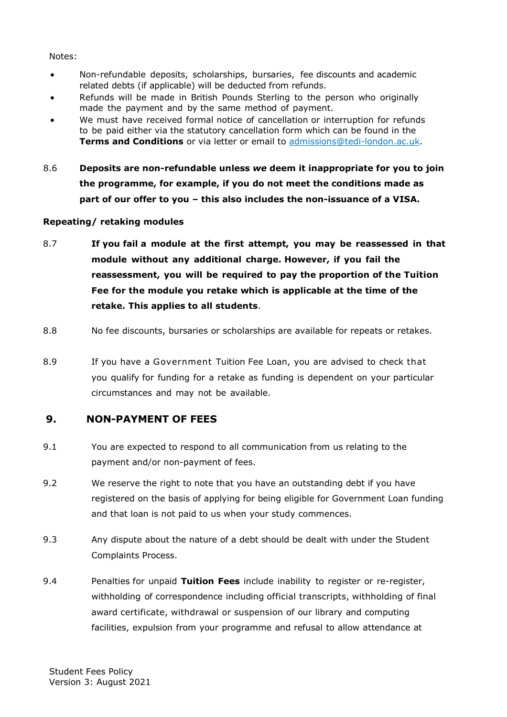#### Notes:

- Non-refundable deposits, scholarships, bursaries, fee discounts and academic related debts (if applicable) will be deducted from refunds.
- Refunds will be made in British Pounds Sterling to the person who originally made the payment and by the same method of payment.
- We must have received formal notice of cancellation or interruption for refunds to be paid either via the statutory cancellation form which can be found in the **Terms and Conditions** or via letter or email to admissions@tedi-london.ac.uk.
- 8.6 **Deposits are non-refundable unless** *we* **deem it inappropriate for you to join the programme, for example, if you do not meet the conditions made as part of our offer to you – this also includes the non-issuance of a VISA.**

### **Repeating/ retaking modules**

- 8.7 **If you fail a module at the first attempt, you may be reassessed in that module without any additional charge. However, if you fail the reassessment, you will be required to pay the proportion of the Tuition Fee for the module you retake which is applicable at the time of the retake. This applies to all students**.
- 8.8 No fee discounts, bursaries or scholarships are available for repeats or retakes.
- 8.9 If you have a Government Tuition Fee Loan, you are advised to check that you qualify for funding for a retake as funding is dependent on your particular circumstances and may not be available.

## <span id="page-13-0"></span>**9. NON-PAYMENT OF FEES**

- 9.1 You are expected to respond to all communication from us relating to the payment and/or non-payment of fees.
- 9.2 We reserve the right to note that you have an outstanding debt if you have registered on the basis of applying for being eligible for Government Loan funding and that loan is not paid to us when your study commences.
- 9.3 Any dispute about the nature of a debt should be dealt with under the Student Complaints Process.
- 9.4 Penalties for unpaid **Tuition Fees** include inability to register or re-register, withholding of correspondence including official transcripts, withholding of final award certificate, withdrawal or suspension of our library and computing facilities, expulsion from your programme and refusal to allow attendance at